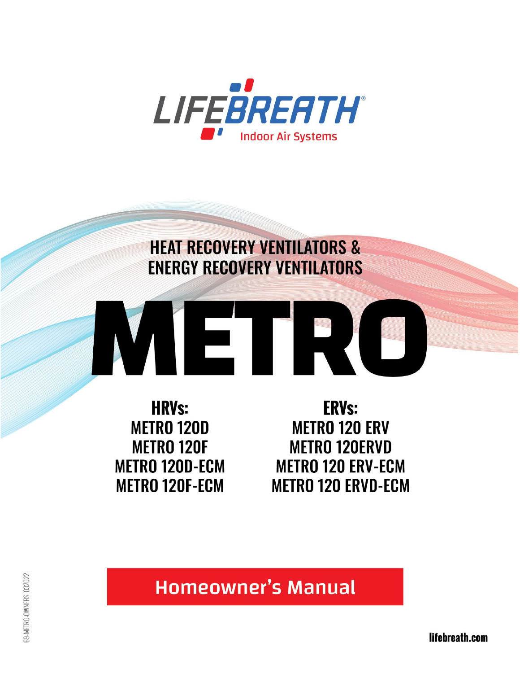

# **HEAT RECOVERY VENTILATORS & ENERGY RECOVERY VENTILATORS**



**HRVs: METRO 120D METRO 120F METRO 120D-ECM METRO 120F-ECM** 

**ERVs: METRO 120 ERV METRO 120ERVD METRO 120 ERV-ECM METRO 120 ERVD-ECM** 

**Homeowner's Manual** 

lifebreath.com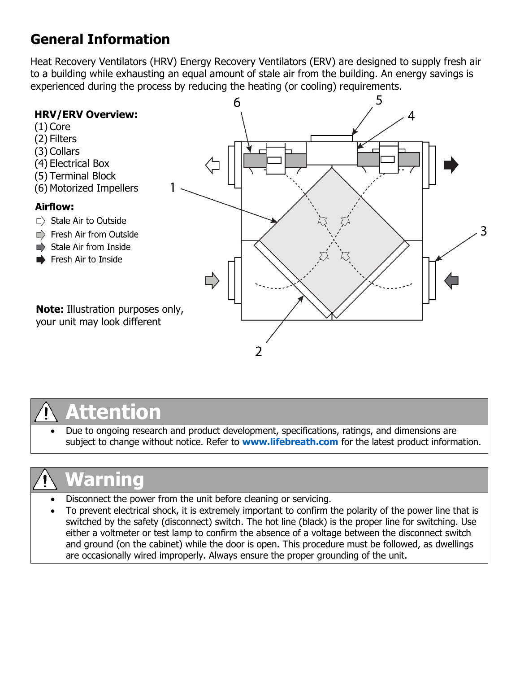# **General Information**

Heat Recovery Ventilators (HRV) Energy Recovery Ventilators (ERV) are designed to supply fresh air to a building while exhausting an equal amount of stale air from the building. An energy savings is experienced during the process by reducing the heating (or cooling) requirements.





• Due to ongoing research and product development, specifications, ratings, and dimensions are subject to change without notice. Refer to **[www.lifebreath.com](http://www.lifebreath.com/)** for the latest product information.

# **Warning**

- Disconnect the power from the unit before cleaning or servicing.
- To prevent electrical shock, it is extremely important to confirm the polarity of the power line that is switched by the safety (disconnect) switch. The hot line (black) is the proper line for switching. Use either a voltmeter or test lamp to confirm the absence of a voltage between the disconnect switch and ground (on the cabinet) while the door is open. This procedure must be followed, as dwellings are occasionally wired improperly. Always ensure the proper grounding of the unit.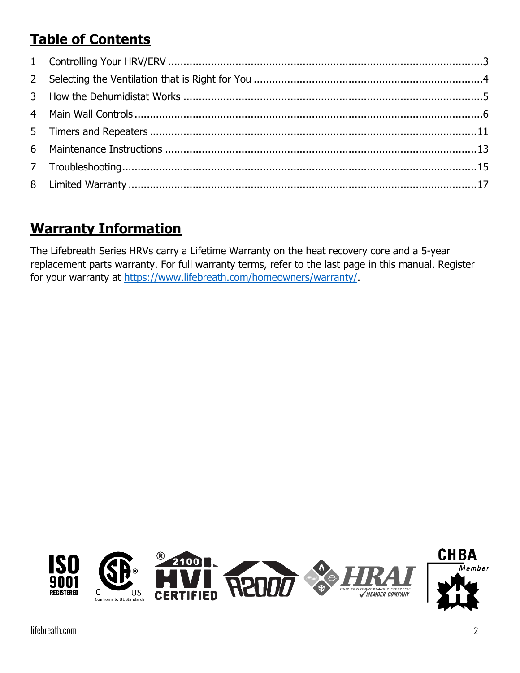# **Table of Contents**

# **Warranty Information**

The Lifebreath Series HRVs carry a Lifetime Warranty on the heat recovery core and a 5-year replacement parts warranty. For full warranty terms, refer to the last page in this manual. Register for your warranty at [https://www.lifebreath.com/homeowners/warranty/.](https://www.lifebreath.com/homeowners/warranty/)

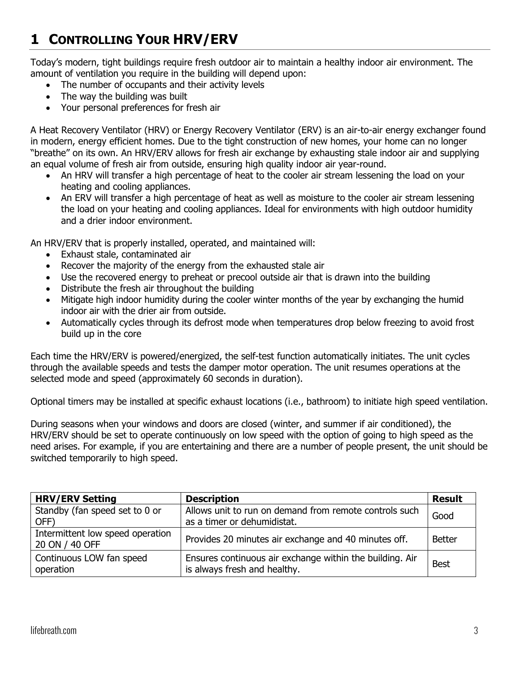# <span id="page-3-0"></span>**1 CONTROLLING YOUR HRV/ERV**

Today's modern, tight buildings require fresh outdoor air to maintain a healthy indoor air environment. The amount of ventilation you require in the building will depend upon:

- The number of occupants and their activity levels
- The way the building was built
- Your personal preferences for fresh air

A Heat Recovery Ventilator (HRV) or Energy Recovery Ventilator (ERV) is an air-to-air energy exchanger found in modern, energy efficient homes. Due to the tight construction of new homes, your home can no longer "breathe" on its own. An HRV/ERV allows for fresh air exchange by exhausting stale indoor air and supplying an equal volume of fresh air from outside, ensuring high quality indoor air year-round.

- An HRV will transfer a high percentage of heat to the cooler air stream lessening the load on your heating and cooling appliances.
- An ERV will transfer a high percentage of heat as well as moisture to the cooler air stream lessening the load on your heating and cooling appliances. Ideal for environments with high outdoor humidity and a drier indoor environment.

An HRV/ERV that is properly installed, operated, and maintained will:

- Exhaust stale, contaminated air
- Recover the majority of the energy from the exhausted stale air
- Use the recovered energy to preheat or precool outside air that is drawn into the building
- Distribute the fresh air throughout the building
- Mitigate high indoor humidity during the cooler winter months of the year by exchanging the humid indoor air with the drier air from outside.
- Automatically cycles through its defrost mode when temperatures drop below freezing to avoid frost build up in the core

Each time the HRV/ERV is powered/energized, the self-test function automatically initiates. The unit cycles through the available speeds and tests the damper motor operation. The unit resumes operations at the selected mode and speed (approximately 60 seconds in duration).

Optional timers may be installed at specific exhaust locations (i.e., bathroom) to initiate high speed ventilation.

During seasons when your windows and doors are closed (winter, and summer if air conditioned), the HRV/ERV should be set to operate continuously on low speed with the option of going to high speed as the need arises. For example, if you are entertaining and there are a number of people present, the unit should be switched temporarily to high speed.

| <b>HRV/ERV Setting</b>                             | <b>Description</b>                                                                       | <b>Result</b> |
|----------------------------------------------------|------------------------------------------------------------------------------------------|---------------|
| Standby (fan speed set to 0 or<br>OFF)             | Allows unit to run on demand from remote controls such<br>as a timer or dehumidistat.    | Good          |
| Intermittent low speed operation<br>20 ON / 40 OFF | Provides 20 minutes air exchange and 40 minutes off.                                     | <b>Better</b> |
| Continuous LOW fan speed<br>operation              | Ensures continuous air exchange within the building. Air<br>is always fresh and healthy. | <b>Best</b>   |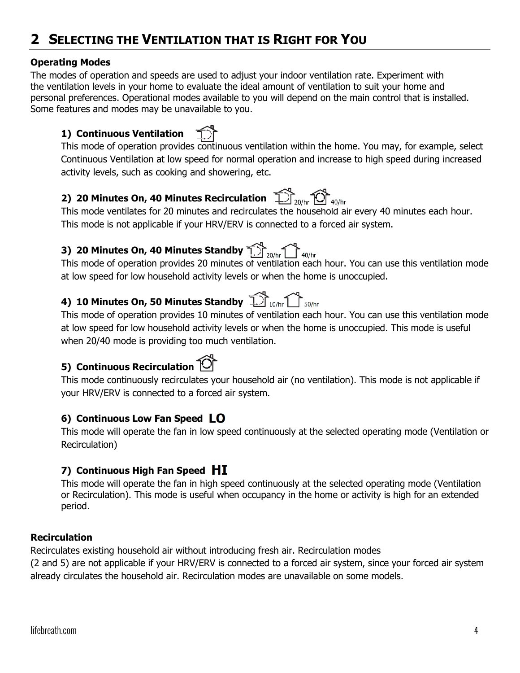# <span id="page-4-0"></span>**2 SELECTING THE VENTILATION THAT IS RIGHT FOR YOU**

### **Operating Modes**

The modes of operation and speeds are used to adjust your indoor ventilation rate. Experiment with the ventilation levels in your home to evaluate the ideal amount of ventilation to suit your home and personal preferences. Operational modes available to you will depend on the main control that is installed. Some features and modes may be unavailable to you.

### **1) Continuous Ventilation**

This mode of operation provides continuous ventilation within the home. You may, for example, select Continuous Ventilation at low speed for normal operation and increase to high speed during increased activity levels, such as cooking and showering, etc.

## **2) 20 Minutes On, 40 Minutes Recirculation**

This mode ventilates for 20 minutes and recirculates the household air every 40 minutes each hour. This mode is not applicable if your HRV/ERV is connected to a forced air system.

# **3) 20 Minutes On, 40 Minutes Standby**

This mode of operation provides 20 minutes of ventilation each hour. You can use this ventilation mode at low speed for low household activity levels or when the home is unoccupied.

# **4) 10 Minutes On, 50 Minutes Standby**

This mode of operation provides 10 minutes of ventilation each hour. You can use this ventilation mode at low speed for low household activity levels or when the home is unoccupied. This mode is useful when 20/40 mode is providing too much ventilation.

### **5) Continuous Recirculation**

This mode continuously recirculates your household air (no ventilation). This mode is not applicable if your HRV/ERV is connected to a forced air system.

### **6) Continuous Low Fan Speed**

This mode will operate the fan in low speed continuously at the selected operating mode (Ventilation or Recirculation)

### **7) Continuous High Fan Speed**

This mode will operate the fan in high speed continuously at the selected operating mode (Ventilation or Recirculation). This mode is useful when occupancy in the home or activity is high for an extended period.

### **Recirculation**

Recirculates existing household air without introducing fresh air. Recirculation modes

(2 and 5) are not applicable if your HRV/ERV is connected to a forced air system, since your forced air system already circulates the household air. Recirculation modes are unavailable on some models.





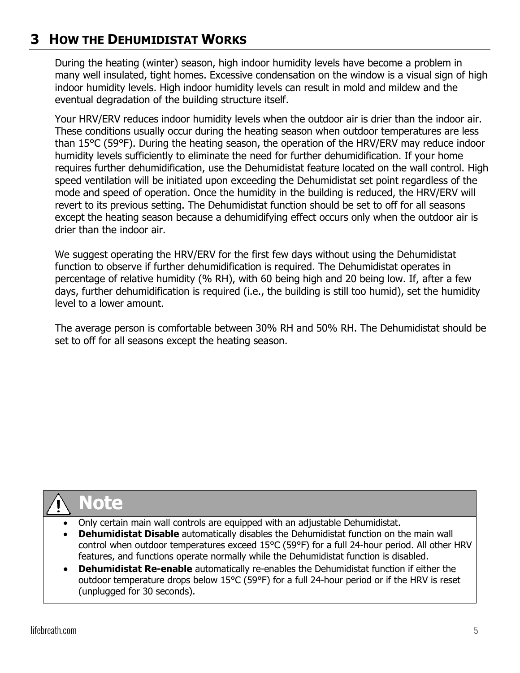# <span id="page-5-0"></span>**3 HOW THE DEHUMIDISTAT WORKS**

During the heating (winter) season, high indoor humidity levels have become a problem in many well insulated, tight homes. Excessive condensation on the window is a visual sign of high indoor humidity levels. High indoor humidity levels can result in mold and mildew and the eventual degradation of the building structure itself.

Your HRV/ERV reduces indoor humidity levels when the outdoor air is drier than the indoor air. These conditions usually occur during the heating season when outdoor temperatures are less than 15°C (59°F). During the heating season, the operation of the HRV/ERV may reduce indoor humidity levels sufficiently to eliminate the need for further dehumidification. If your home requires further dehumidification, use the Dehumidistat feature located on the wall control. High speed ventilation will be initiated upon exceeding the Dehumidistat set point regardless of the mode and speed of operation. Once the humidity in the building is reduced, the HRV/ERV will revert to its previous setting. The Dehumidistat function should be set to off for all seasons except the heating season because a dehumidifying effect occurs only when the outdoor air is drier than the indoor air.

We suggest operating the HRV/ERV for the first few days without using the Dehumidistat function to observe if further dehumidification is required. The Dehumidistat operates in percentage of relative humidity (% RH), with 60 being high and 20 being low. If, after a few days, further dehumidification is required (i.e., the building is still too humid), set the humidity level to a lower amount.

The average person is comfortable between 30% RH and 50% RH. The Dehumidistat should be set to off for all seasons except the heating season.

# **Note**

- Only certain main wall controls are equipped with an adjustable Dehumidistat.
- **Dehumidistat Disable** automatically disables the Dehumidistat function on the main wall control when outdoor temperatures exceed 15°C (59°F) for a full 24-hour period. All other HRV features, and functions operate normally while the Dehumidistat function is disabled.
- **Dehumidistat Re-enable** automatically re-enables the Dehumidistat function if either the outdoor temperature drops below 15°C (59°F) for a full 24-hour period or if the HRV is reset (unplugged for 30 seconds).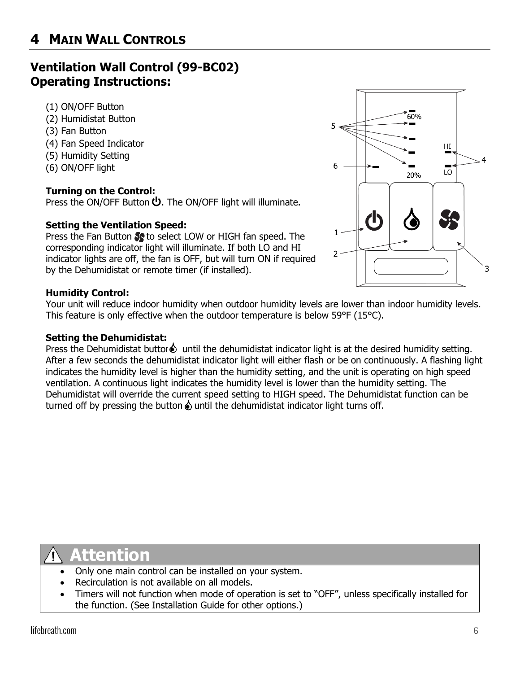# <span id="page-6-0"></span>**4 MAIN WALL CONTROLS**

### **Ventilation Wall Control (99-BC02) Operating Instructions:**

- (1) ON/OFF Button
- (2) Humidistat Button
- (3) Fan Button
- (4) Fan Speed Indicator
- (5) Humidity Setting
- (6) ON/OFF light

### **Turning on the Control:**

Press the ON/OFF Button  $\Phi$ . The ON/OFF light will illuminate.

### **Setting the Ventilation Speed:**

Press the Fan Button to select LOW or HIGH fan speed. The corresponding indicator light will illuminate. If both LO and HI indicator lights are off, the fan is OFF, but will turn ON if required by the Dehumidistat or remote timer (if installed).

#### **Humidity Control:**

Your unit will reduce indoor humidity when outdoor humidity levels are lower than indoor humidity levels. This feature is only effective when the outdoor temperature is below 59°F (15°C).

#### **Setting the Dehumidistat:**

Press the Dehumidistat buttor  $\odot$  until the dehumidistat indicator light is at the desired humidity setting. After a few seconds the dehumidistat indicator light will either flash or be on continuously. A flashing light indicates the humidity level is higher than the humidity setting, and the unit is operating on high speed ventilation. A continuous light indicates the humidity level is lower than the humidity setting. The Dehumidistat will override the current speed setting to HIGH speed. The Dehumidistat function can be turned off by pressing the button  $\Diamond$  until the dehumidistat indicator light turns off.

- Only one main control can be installed on your system.
- Recirculation is not available on all models.
- Timers will not function when mode of operation is set to "OFF", unless specifically installed for the function. (See Installation Guide for other options.)

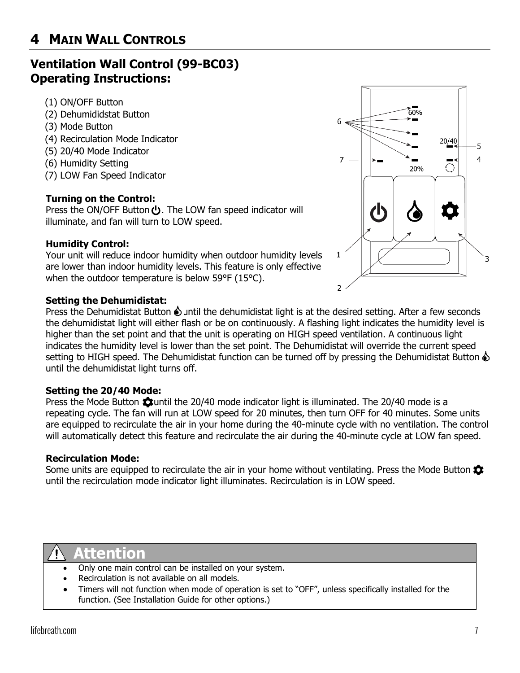## **Ventilation Wall Control (99-BC03) Operating Instructions:**

- (1) ON/OFF Button
- (2) Dehumididstat Button
- (3) Mode Button
- (4) Recirculation Mode Indicator
- (5) 20/40 Mode Indicator
- (6) Humidity Setting
- (7) LOW Fan Speed Indicator

### **Turning on the Control:**

Press the ON/OFF Button  $\bigcup$ . The LOW fan speed indicator will illuminate, and fan will turn to LOW speed.

### **Humidity Control:**

Your unit will reduce indoor humidity when outdoor humidity levels are lower than indoor humidity levels. This feature is only effective when the outdoor temperature is below 59°F (15°C).

### **Setting the Dehumidistat:**

Press the Dehumidistat Button  $\odot$  until the dehumidistat light is at the desired setting. After a few seconds the dehumidistat light will either flash or be on continuously. A flashing light indicates the humidity level is higher than the set point and that the unit is operating on HIGH speed ventilation. A continuous light indicates the humidity level is lower than the set point. The Dehumidistat will override the current speed setting to HIGH speed. The Dehumidistat function can be turned off by pressing the Dehumidistat Button  $\Diamond$ until the dehumidistat light turns off.

### **Setting the 20/40 Mode:**

Press the Mode Button  $\ddot{\bullet}$  until the 20/40 mode indicator light is illuminated. The 20/40 mode is a repeating cycle. The fan will run at LOW speed for 20 minutes, then turn OFF for 40 minutes. Some units are equipped to recirculate the air in your home during the 40-minute cycle with no ventilation. The control will automatically detect this feature and recirculate the air during the 40-minute cycle at LOW fan speed.

### **Recirculation Mode:**

Some units are equipped to recirculate the air in your home without ventilating. Press the Mode Button  $\ddot{\mathbf{\Omega}}$ until the recirculation mode indicator light illuminates. Recirculation is in LOW speed.

- Only one main control can be installed on your system.
- Recirculation is not available on all models.
- Timers will not function when mode of operation is set to "OFF", unless specifically installed for the function. (See Installation Guide for other options.)

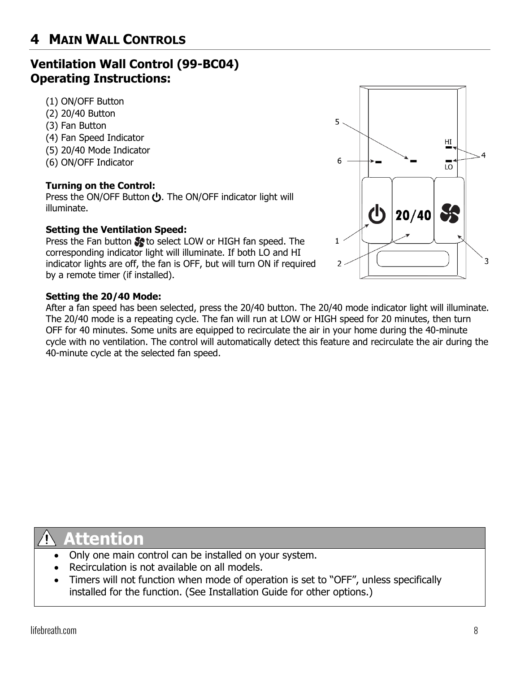# **4 MAIN WALL CONTROLS**

### **Ventilation Wall Control (99-BC04) Operating Instructions:**

- (1) ON/OFF Button
- (2) 20/40 Button
- (3) Fan Button
- (4) Fan Speed Indicator
- (5) 20/40 Mode Indicator
- (6) ON/OFF Indicator

#### **Turning on the Control:**

Press the ON/OFF Button  $\bigcup$ . The ON/OFF indicator light will illuminate.

#### **Setting the Ventilation Speed:**

Press the Fan button  $\clubsuit$  to select LOW or HIGH fan speed. The corresponding indicator light will illuminate. If both LO and HI indicator lights are off, the fan is OFF, but will turn ON if required by a remote timer (if installed).

#### **Setting the 20/40 Mode:**

After a fan speed has been selected, press the 20/40 button. The 20/40 mode indicator light will illuminate. The 20/40 mode is a repeating cycle. The fan will run at LOW or HIGH speed for 20 minutes, then turn OFF for 40 minutes. Some units are equipped to recirculate the air in your home during the 40-minute cycle with no ventilation. The control will automatically detect this feature and recirculate the air during the 40-minute cycle at the selected fan speed.



- Only one main control can be installed on your system.
- Recirculation is not available on all models.
- Timers will not function when mode of operation is set to "OFF", unless specifically installed for the function. (See Installation Guide for other options.)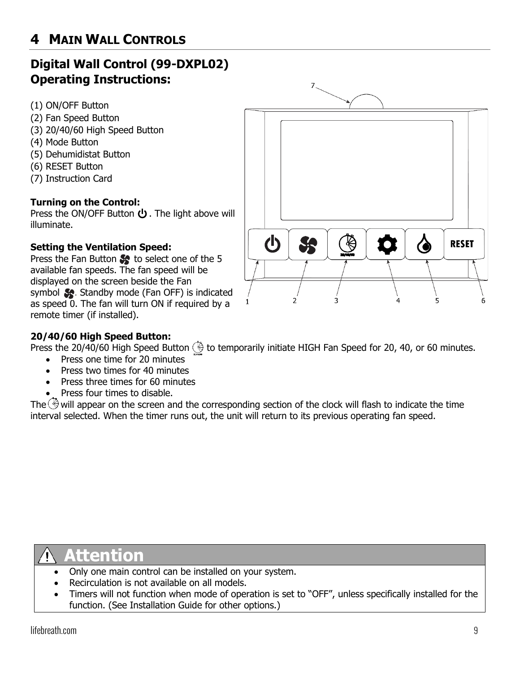# **Digital Wall Control (99-DXPL02) Operating Instructions:**

- (1) ON/OFF Button
- (2) Fan Speed Button
- (3) 20/40/60 High Speed Button
- (4) Mode Button
- (5) Dehumidistat Button
- (6) RESET Button
- (7) Instruction Card

### **Turning on the Control:**

Press the ON/OFF Button  $\bigcup$ . The light above will illuminate.

### **Setting the Ventilation Speed:**

Press the Fan Button  $\mathcal{L}$  to select one of the 5 available fan speeds. The fan speed will be displayed on the screen beside the Fan symbol **Standby mode (Fan OFF)** is indicated as speed 0. The fan will turn ON if required by a remote timer (if installed).



### **20/40/60 High Speed Button:**

Press the 20/40/60 High Speed Button  $\ddot{\otimes}$  to temporarily initiate HIGH Fan Speed for 20, 40, or 60 minutes.

- Press one time for 20 minutes
- Press two times for 40 minutes
- Press three times for 60 minutes
- Press four times to disable.

The  $\Diamond$  will appear on the screen and the corresponding section of the clock will flash to indicate the time interval selected. When the timer runs out, the unit will return to its previous operating fan speed.

- Only one main control can be installed on your system.
- Recirculation is not available on all models.
- Timers will not function when mode of operation is set to "OFF", unless specifically installed for the function. (See Installation Guide for other options.)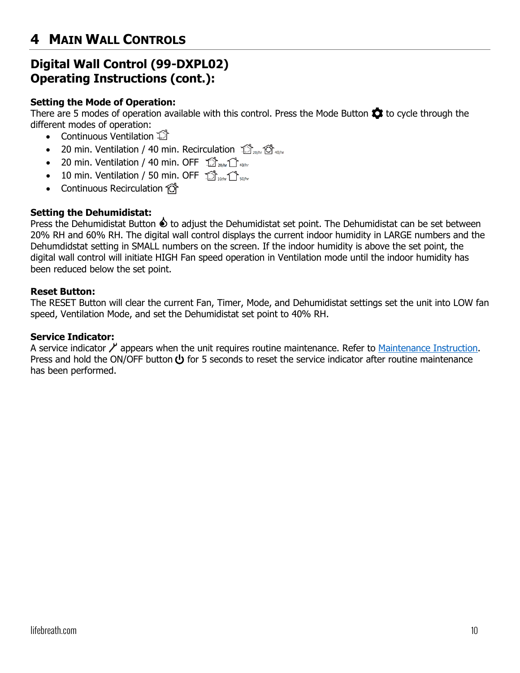### **Digital Wall Control (99-DXPL02) Operating Instructions (cont.):**

### **Setting the Mode of Operation:**

There are 5 modes of operation available with this control. Press the Mode Button  $\bullet$  to cycle through the different modes of operation:

- Continuous Ventilation  $\widehat{\mathbb{D}}$
- 20 min. Ventilation / 40 min. Recirculation  $\hat{D}_{\text{200hr}}\hat{O}_{\text{400hr}}$
- 20 min. Ventilation / 40 min. OFF  $\mathbb{S}_{20/n}$   $\mathbb{C}_{40/n}$
- 10 min. Ventilation / 50 min. OFF  $\hat{D}_{\text{low}}$
- Continuous Recirculation <del>O</del>

#### **Setting the Dehumidistat:**

Press the Dehumidistat Button  $\hat{\mathbf{\Theta}}$  to adjust the Dehumidistat set point. The Dehumidistat can be set between 20% RH and 60% RH. The digital wall control displays the current indoor humidity in LARGE numbers and the Dehumdidstat setting in SMALL numbers on the screen. If the indoor humidity is above the set point, the digital wall control will initiate HIGH Fan speed operation in Ventilation mode until the indoor humidity has been reduced below the set point.

#### **Reset Button:**

The RESET Button will clear the current Fan, Timer, Mode, and Dehumidistat settings set the unit into LOW fan speed, Ventilation Mode, and set the Dehumidistat set point to 40% RH.

#### **Service Indicator:**

A service indicator  $\lambda$  appears when the unit requires routine maintenance. Refer to [Maintenance Instruction.](#page-13-0) Press and hold the ON/OFF button  $\bigcup$  for 5 seconds to reset the service indicator after routine maintenance has been performed.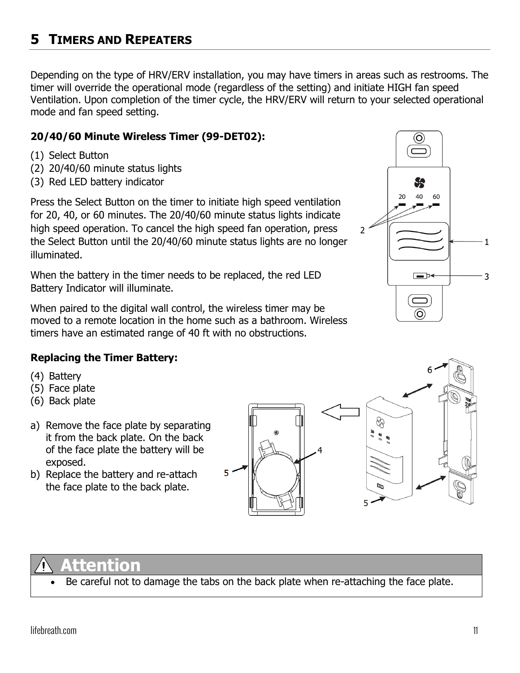# <span id="page-11-0"></span>**5 TIMERS AND REPEATERS**

Depending on the type of HRV/ERV installation, you may have timers in areas such as restrooms. The timer will override the operational mode (regardless of the setting) and initiate HIGH fan speed Ventilation. Upon completion of the timer cycle, the HRV/ERV will return to your selected operational mode and fan speed setting.

### **20/40/60 Minute Wireless Timer (99-DET02):**

- (1) Select Button
- (2) 20/40/60 minute status lights
- (3) Red LED battery indicator

Press the Select Button on the timer to initiate high speed ventilation for 20, 40, or 60 minutes. The 20/40/60 minute status lights indicate high speed operation. To cancel the high speed fan operation, press the Select Button until the 20/40/60 minute status lights are no longer illuminated.

When the battery in the timer needs to be replaced, the red LED Battery Indicator will illuminate.

When paired to the digital wall control, the wireless timer may be moved to a remote location in the home such as a bathroom. Wireless timers have an estimated range of 40 ft with no obstructions.



### **Replacing the Timer Battery:**

- (4) Battery
- (5) Face plate
- (6) Back plate
- a) Remove the face plate by separating it from the back plate. On the back of the face plate the battery will be exposed.
- b) Replace the battery and re-attach the face plate to the back plate.





# **Attention**

Be careful not to damage the tabs on the back plate when re-attaching the face plate.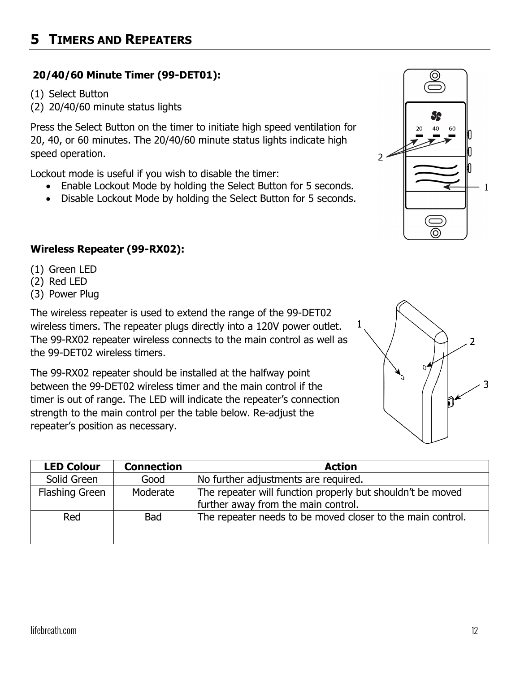### **20/40/60 Minute Timer (99-DET01):**

- (1) Select Button
- (2) 20/40/60 minute status lights

Press the Select Button on the timer to initiate high speed ventilation for 20, 40, or 60 minutes. The 20/40/60 minute status lights indicate high speed operation.

Lockout mode is useful if you wish to disable the timer:

- Enable Lockout Mode by holding the Select Button for 5 seconds.
- Disable Lockout Mode by holding the Select Button for 5 seconds.

### **Wireless Repeater (99-RX02):**

- (1) Green LED
- (2) Red LED
- (3) Power Plug

The wireless repeater is used to extend the range of the 99-DET02 wireless timers. The repeater plugs directly into a 120V power outlet. The 99-RX02 repeater wireless connects to the main control as well as the 99-DET02 wireless timers.

The 99-RX02 repeater should be installed at the halfway point between the 99-DET02 wireless timer and the main control if the timer is out of range. The LED will indicate the repeater's connection strength to the main control per the table below. Re-adjust the repeater's position as necessary.

| <b>LED Colour</b>     | <b>Connection</b> | <b>Action</b>                                                                                     |
|-----------------------|-------------------|---------------------------------------------------------------------------------------------------|
| Solid Green           | Good              | No further adjustments are required.                                                              |
| <b>Flashing Green</b> | Moderate          | The repeater will function properly but shouldn't be moved<br>further away from the main control. |
| Red                   | <b>Bad</b>        | The repeater needs to be moved closer to the main control.                                        |



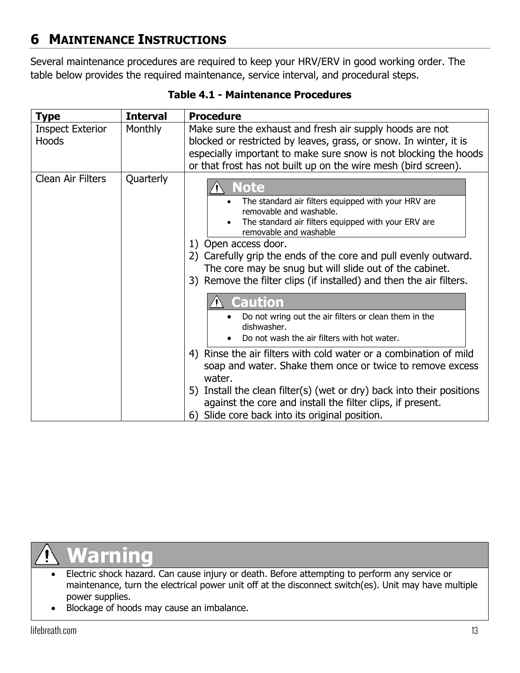# <span id="page-13-0"></span>**6 MAINTENANCE INSTRUCTIONS**

Several maintenance procedures are required to keep your HRV/ERV in good working order. The table below provides the required maintenance, service interval, and procedural steps.

| <b>Type</b>                             | <b>Interval</b> | <b>Procedure</b>                                                                                                                                                                                                                                                                                                                                                                                                                                                                                                                                                                                                                                                                                                                                                                                                                                                                      |
|-----------------------------------------|-----------------|---------------------------------------------------------------------------------------------------------------------------------------------------------------------------------------------------------------------------------------------------------------------------------------------------------------------------------------------------------------------------------------------------------------------------------------------------------------------------------------------------------------------------------------------------------------------------------------------------------------------------------------------------------------------------------------------------------------------------------------------------------------------------------------------------------------------------------------------------------------------------------------|
| <b>Inspect Exterior</b><br><b>Hoods</b> | <b>Monthly</b>  | Make sure the exhaust and fresh air supply hoods are not<br>blocked or restricted by leaves, grass, or snow. In winter, it is<br>especially important to make sure snow is not blocking the hoods<br>or that frost has not built up on the wire mesh (bird screen).                                                                                                                                                                                                                                                                                                                                                                                                                                                                                                                                                                                                                   |
| Clean Air Filters                       | Quarterly       | Note<br>The standard air filters equipped with your HRV are<br>removable and washable.<br>The standard air filters equipped with your ERV are<br>removable and washable<br>1) Open access door.<br>2) Carefully grip the ends of the core and pull evenly outward.<br>The core may be snug but will slide out of the cabinet.<br>3) Remove the filter clips (if installed) and then the air filters.<br><b>Caution</b><br>Do not wring out the air filters or clean them in the<br>dishwasher.<br>Do not wash the air filters with hot water.<br>4) Rinse the air filters with cold water or a combination of mild<br>soap and water. Shake them once or twice to remove excess<br>water.<br>5) Install the clean filter(s) (wet or dry) back into their positions<br>against the core and install the filter clips, if present.<br>Slide core back into its original position.<br>6) |

# **Warning**

- Electric shock hazard. Can cause injury or death. Before attempting to perform any service or maintenance, turn the electrical power unit off at the disconnect switch(es). Unit may have multiple power supplies.
- Blockage of hoods may cause an imbalance.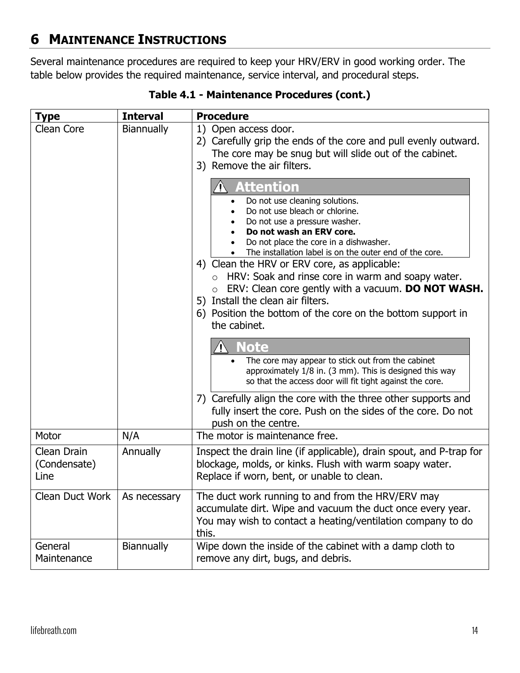## **6 MAINTENANCE INSTRUCTIONS**

Several maintenance procedures are required to keep your HRV/ERV in good working order. The table below provides the required maintenance, service interval, and procedural steps.

| <b>Type</b>                                 | <b>Interval</b>   | <b>Procedure</b>                                                                                                                                                                                                                                                                                                                                                                                                                                                                                                                                 |  |
|---------------------------------------------|-------------------|--------------------------------------------------------------------------------------------------------------------------------------------------------------------------------------------------------------------------------------------------------------------------------------------------------------------------------------------------------------------------------------------------------------------------------------------------------------------------------------------------------------------------------------------------|--|
| Clean Core                                  | <b>Biannually</b> | 1) Open access door.<br>2) Carefully grip the ends of the core and pull evenly outward.<br>The core may be snug but will slide out of the cabinet.<br>3) Remove the air filters.                                                                                                                                                                                                                                                                                                                                                                 |  |
|                                             |                   | <b>Attention</b><br>Do not use cleaning solutions.<br>Do not use bleach or chlorine.<br>Do not use a pressure washer.<br>Do not wash an ERV core.<br>Do not place the core in a dishwasher.<br>The installation label is on the outer end of the core.<br>4) Clean the HRV or ERV core, as applicable:<br>HRV: Soak and rinse core in warm and soapy water.<br>ERV: Clean core gently with a vacuum. DO NOT WASH.<br>$\circ$<br>5) Install the clean air filters.<br>6) Position the bottom of the core on the bottom support in<br>the cabinet. |  |
|                                             |                   | <b>Note</b><br>The core may appear to stick out from the cabinet<br>approximately 1/8 in. (3 mm). This is designed this way<br>so that the access door will fit tight against the core.<br>7) Carefully align the core with the three other supports and<br>fully insert the core. Push on the sides of the core. Do not<br>push on the centre.                                                                                                                                                                                                  |  |
| Motor                                       | N/A               | The motor is maintenance free.                                                                                                                                                                                                                                                                                                                                                                                                                                                                                                                   |  |
| Clean Drain<br>(Condensate)<br>Line         | Annually          | Inspect the drain line (if applicable), drain spout, and P-trap for<br>blockage, molds, or kinks. Flush with warm soapy water.<br>Replace if worn, bent, or unable to clean.                                                                                                                                                                                                                                                                                                                                                                     |  |
| <b>Clean Duct Work</b>                      | As necessary      | The duct work running to and from the HRV/ERV may<br>accumulate dirt. Wipe and vacuum the duct once every year.<br>You may wish to contact a heating/ventilation company to do<br>this.                                                                                                                                                                                                                                                                                                                                                          |  |
| General<br><b>Biannually</b><br>Maintenance |                   | Wipe down the inside of the cabinet with a damp cloth to<br>remove any dirt, bugs, and debris.                                                                                                                                                                                                                                                                                                                                                                                                                                                   |  |

**Table 4.1 - Maintenance Procedures (cont.)**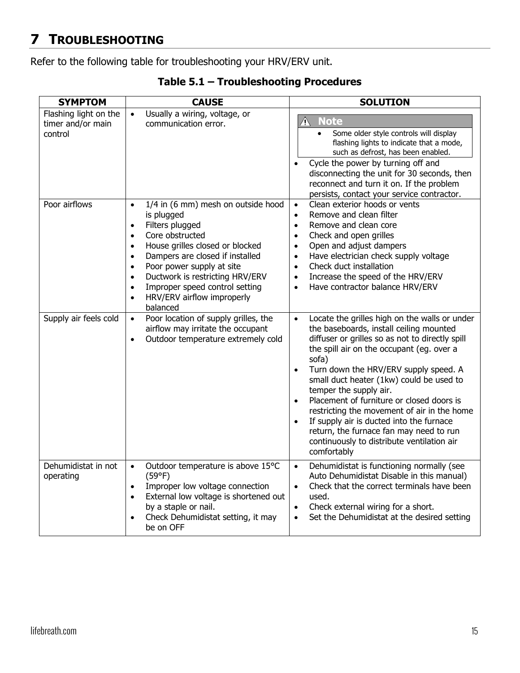## <span id="page-15-0"></span>**7 TROUBLESHOOTING**

Refer to the following table for troubleshooting your HRV/ERV unit.

| <b>SYMPTOM</b>                                        | <b>CAUSE</b>                                                                                                                                                                                                                                                                                                                                                                                                                  | <b>SOLUTION</b>                                                                                                                                                                                                                                                                                                                                                                                                                                                                                                                                                                                                      |
|-------------------------------------------------------|-------------------------------------------------------------------------------------------------------------------------------------------------------------------------------------------------------------------------------------------------------------------------------------------------------------------------------------------------------------------------------------------------------------------------------|----------------------------------------------------------------------------------------------------------------------------------------------------------------------------------------------------------------------------------------------------------------------------------------------------------------------------------------------------------------------------------------------------------------------------------------------------------------------------------------------------------------------------------------------------------------------------------------------------------------------|
| Flashing light on the<br>timer and/or main<br>control | Usually a wiring, voltage, or<br>$\bullet$<br>communication error.                                                                                                                                                                                                                                                                                                                                                            | <b>Note</b><br>$\bigwedge$<br>Some older style controls will display<br>$\bullet$<br>flashing lights to indicate that a mode,<br>such as defrost, has been enabled.<br>Cycle the power by turning off and<br>$\bullet$<br>disconnecting the unit for 30 seconds, then<br>reconnect and turn it on. If the problem<br>persists, contact your service contractor.                                                                                                                                                                                                                                                      |
| Poor airflows                                         | 1/4 in (6 mm) mesh on outside hood<br>$\bullet$<br>is plugged<br>Filters plugged<br>$\bullet$<br>Core obstructed<br>$\bullet$<br>House grilles closed or blocked<br>$\bullet$<br>Dampers are closed if installed<br>$\bullet$<br>Poor power supply at site<br>$\bullet$<br>Ductwork is restricting HRV/ERV<br>$\bullet$<br>Improper speed control setting<br>$\bullet$<br>HRV/ERV airflow improperly<br>$\bullet$<br>balanced | Clean exterior hoods or vents<br>$\bullet$<br>Remove and clean filter<br>$\bullet$<br>Remove and clean core<br>$\bullet$<br>Check and open grilles<br>$\bullet$<br>Open and adjust dampers<br>$\bullet$<br>Have electrician check supply voltage<br>$\bullet$<br>Check duct installation<br>$\bullet$<br>Increase the speed of the HRV/ERV<br>$\bullet$<br>Have contractor balance HRV/ERV<br>$\bullet$                                                                                                                                                                                                              |
| Supply air feels cold                                 | Poor location of supply grilles, the<br>$\bullet$<br>airflow may irritate the occupant<br>Outdoor temperature extremely cold<br>$\bullet$                                                                                                                                                                                                                                                                                     | Locate the grilles high on the walls or under<br>$\bullet$<br>the baseboards, install ceiling mounted<br>diffuser or grilles so as not to directly spill<br>the spill air on the occupant (eg. over a<br>sofa)<br>Turn down the HRV/ERV supply speed. A<br>$\bullet$<br>small duct heater (1kw) could be used to<br>temper the supply air.<br>Placement of furniture or closed doors is<br>$\bullet$<br>restricting the movement of air in the home<br>If supply air is ducted into the furnace<br>$\bullet$<br>return, the furnace fan may need to run<br>continuously to distribute ventilation air<br>comfortably |
| Dehumidistat in not<br>operating                      | Outdoor temperature is above 15°C<br>$\bullet$<br>(59°F)<br>Improper low voltage connection<br>$\bullet$<br>External low voltage is shortened out<br>$\bullet$<br>by a staple or nail.<br>Check Dehumidistat setting, it may<br>be on OFF                                                                                                                                                                                     | Dehumidistat is functioning normally (see<br>$\bullet$<br>Auto Dehumidistat Disable in this manual)<br>Check that the correct terminals have been<br>$\bullet$<br>used.<br>Check external wiring for a short.<br>$\bullet$<br>Set the Dehumidistat at the desired setting<br>$\bullet$                                                                                                                                                                                                                                                                                                                               |

**Table 5.1 – Troubleshooting Procedures**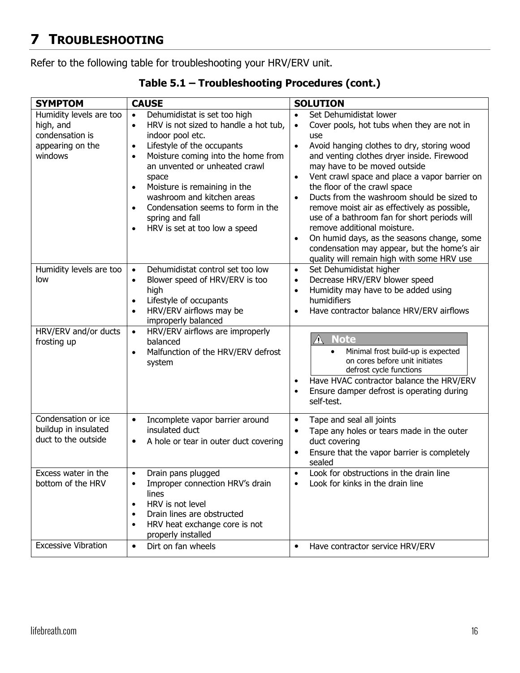# **7 TROUBLESHOOTING**

Refer to the following table for troubleshooting your HRV/ERV unit.

| <b>SYMPTOM</b>                                                                         | <b>CAUSE</b>                                                                                                                                                                                                                                                                                                                                                                                                                                              | <b>SOLUTION</b>                                                                                                                                                                                                                                                                                                                                                                                                                                                                                                                                                                                   |
|----------------------------------------------------------------------------------------|-----------------------------------------------------------------------------------------------------------------------------------------------------------------------------------------------------------------------------------------------------------------------------------------------------------------------------------------------------------------------------------------------------------------------------------------------------------|---------------------------------------------------------------------------------------------------------------------------------------------------------------------------------------------------------------------------------------------------------------------------------------------------------------------------------------------------------------------------------------------------------------------------------------------------------------------------------------------------------------------------------------------------------------------------------------------------|
|                                                                                        |                                                                                                                                                                                                                                                                                                                                                                                                                                                           |                                                                                                                                                                                                                                                                                                                                                                                                                                                                                                                                                                                                   |
| Humidity levels are too<br>high, and<br>condensation is<br>appearing on the<br>windows | Dehumidistat is set too high<br>$\bullet$<br>HRV is not sized to handle a hot tub,<br>$\bullet$<br>indoor pool etc.<br>Lifestyle of the occupants<br>$\bullet$<br>Moisture coming into the home from<br>$\bullet$<br>an unvented or unheated crawl<br>space<br>Moisture is remaining in the<br>$\bullet$<br>washroom and kitchen areas<br>Condensation seems to form in the<br>$\bullet$<br>spring and fall<br>HRV is set at too low a speed<br>$\bullet$ | Set Dehumidistat lower<br>$\bullet$<br>Cover pools, hot tubs when they are not in<br>$\bullet$<br>use<br>Avoid hanging clothes to dry, storing wood<br>$\bullet$<br>and venting clothes dryer inside. Firewood<br>may have to be moved outside<br>Vent crawl space and place a vapor barrier on<br>$\bullet$<br>the floor of the crawl space<br>Ducts from the washroom should be sized to<br>$\bullet$<br>remove moist air as effectively as possible,<br>use of a bathroom fan for short periods will<br>remove additional moisture.<br>On humid days, as the seasons change, some<br>$\bullet$ |
|                                                                                        |                                                                                                                                                                                                                                                                                                                                                                                                                                                           | condensation may appear, but the home's air<br>quality will remain high with some HRV use                                                                                                                                                                                                                                                                                                                                                                                                                                                                                                         |
| Humidity levels are too<br>low                                                         | Dehumidistat control set too low<br>$\bullet$<br>Blower speed of HRV/ERV is too<br>$\bullet$<br>high<br>Lifestyle of occupants<br>$\bullet$<br>HRV/ERV airflows may be<br>$\bullet$<br>improperly balanced                                                                                                                                                                                                                                                | Set Dehumidistat higher<br>$\bullet$<br>Decrease HRV/ERV blower speed<br>$\bullet$<br>Humidity may have to be added using<br>$\bullet$<br>humidifiers<br>Have contractor balance HRV/ERV airflows<br>$\bullet$                                                                                                                                                                                                                                                                                                                                                                                    |
| HRV/ERV and/or ducts<br>frosting up                                                    | HRV/ERV airflows are improperly<br>$\bullet$<br>balanced<br>Malfunction of the HRV/ERV defrost<br>$\bullet$<br>system                                                                                                                                                                                                                                                                                                                                     | <b>Note</b><br>Minimal frost build-up is expected<br>on cores before unit initiates<br>defrost cycle functions<br>Have HVAC contractor balance the HRV/ERV<br>$\bullet$<br>Ensure damper defrost is operating during<br>$\bullet$<br>self-test.                                                                                                                                                                                                                                                                                                                                                   |
| Condensation or ice<br>buildup in insulated<br>duct to the outside                     | Incomplete vapor barrier around<br>$\bullet$<br>insulated duct<br>A hole or tear in outer duct covering<br>$\bullet$                                                                                                                                                                                                                                                                                                                                      | Tape and seal all joints<br>$\bullet$<br>Tape any holes or tears made in the outer<br>duct covering<br>Ensure that the vapor barrier is completely<br>٠<br>sealed                                                                                                                                                                                                                                                                                                                                                                                                                                 |
| Excess water in the<br>bottom of the HRV                                               | Drain pans plugged<br>Improper connection HRV's drain<br>$\bullet$<br>lines<br>HRV is not level<br>$\bullet$<br>Drain lines are obstructed<br>$\bullet$<br>HRV heat exchange core is not<br>$\bullet$<br>properly installed                                                                                                                                                                                                                               | Look for obstructions in the drain line<br>$\bullet$<br>Look for kinks in the drain line                                                                                                                                                                                                                                                                                                                                                                                                                                                                                                          |
| <b>Excessive Vibration</b>                                                             | Dirt on fan wheels<br>$\bullet$                                                                                                                                                                                                                                                                                                                                                                                                                           | Have contractor service HRV/ERV<br>$\bullet$                                                                                                                                                                                                                                                                                                                                                                                                                                                                                                                                                      |

**Table 5.1 – Troubleshooting Procedures (cont.)**